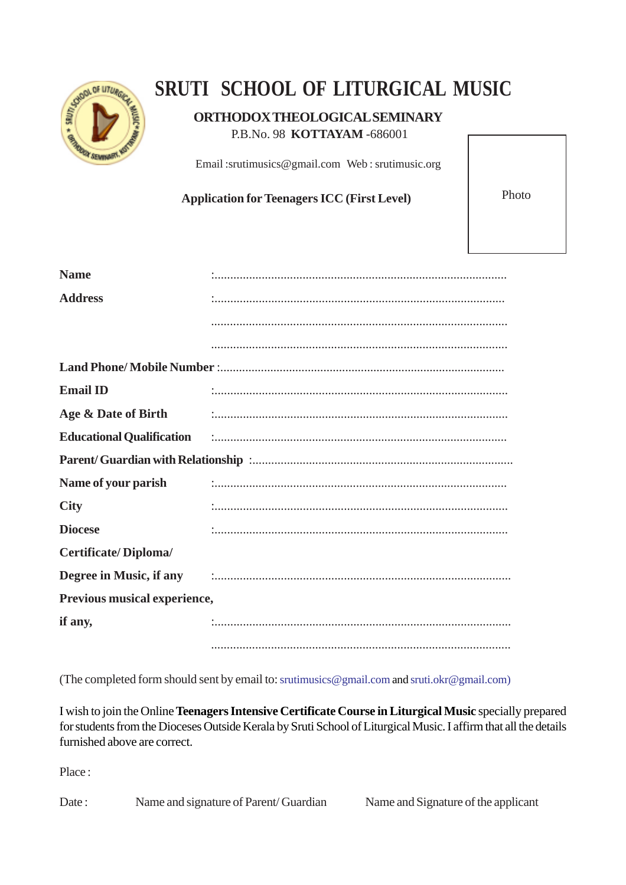

## **SRUTI SCHOOL OF LITURGICAL MUSIC**

## **ORTHODOX THEOLOGICAL SEMINARY**

P.B.No. 98 **KOTTAYAM** -686001

Email :srutimusics@gmail.com Web : srutimusic.org

Application for Teenagers ICC (First Level) Photo

| <b>Name</b>                  |                                                                                                                                                                                                                                |
|------------------------------|--------------------------------------------------------------------------------------------------------------------------------------------------------------------------------------------------------------------------------|
| <b>Address</b>               |                                                                                                                                                                                                                                |
|                              |                                                                                                                                                                                                                                |
|                              |                                                                                                                                                                                                                                |
|                              |                                                                                                                                                                                                                                |
| <b>Email ID</b>              |                                                                                                                                                                                                                                |
| Age & Date of Birth          |                                                                                                                                                                                                                                |
|                              | Educational Qualification (1) continuum contraction (1) contract to the contract of the contract of the contract of the contract of the contract of the contract of the contract of the contract of the contract of the contra |
|                              |                                                                                                                                                                                                                                |
| Name of your parish          |                                                                                                                                                                                                                                |
| <b>City</b>                  |                                                                                                                                                                                                                                |
| <b>Diocese</b>               |                                                                                                                                                                                                                                |
| <b>Certificate/Diploma/</b>  |                                                                                                                                                                                                                                |
|                              | Degree in Music, if any and the continuum control of the Music state of the control of the control of the control of the control of the control of the control of the control of the control of the control of the control of  |
| Previous musical experience, |                                                                                                                                                                                                                                |
| if any,                      |                                                                                                                                                                                                                                |
|                              |                                                                                                                                                                                                                                |

(The completed form should sent by email to: srutimusics@gmail.com and sruti.okr@gmail.com)

I wish to join the Online **Teenagers Intensive Certificate Course in Liturgical Music** specially prepared for students from the Dioceses Outside Kerala by Sruti School of Liturgical Music. I affirm that all the details furnished above are correct.

Place :

Date : Name and signature of Parent/ Guardian Name and Signature of the applicant